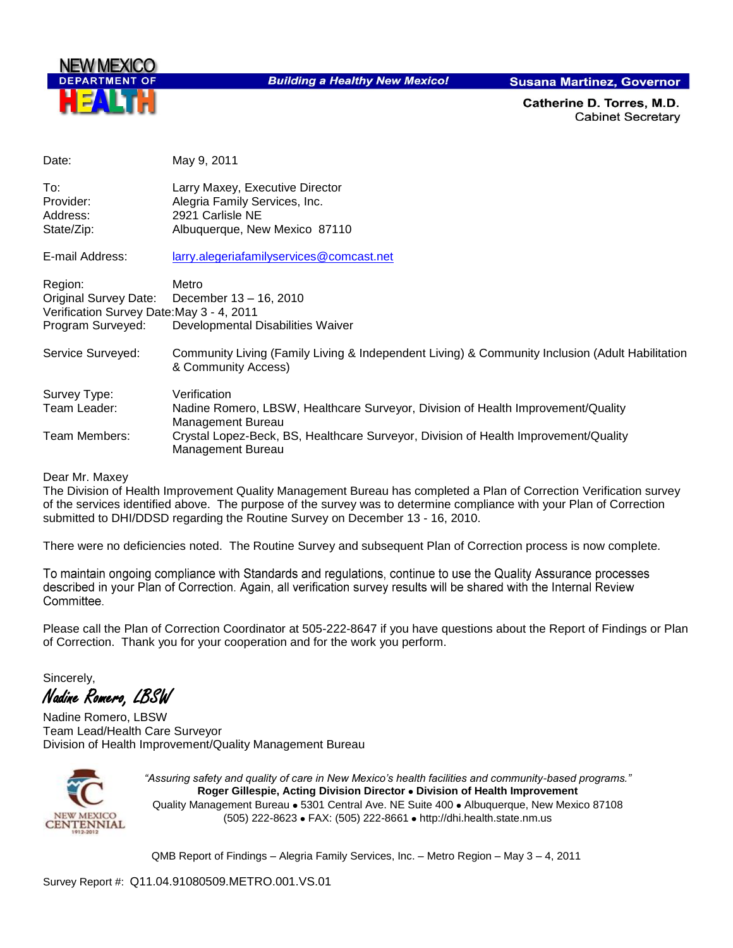

**Building a Healthy New Mexico!** 

**Susana Martinez, Governor** 

Catherine D. Torres, M.D. **Cabinet Secretary** 

| Date:                                                              | May 9, 2011                                                                                                            |
|--------------------------------------------------------------------|------------------------------------------------------------------------------------------------------------------------|
| To:<br>Provider:                                                   | Larry Maxey, Executive Director<br>Alegria Family Services, Inc.                                                       |
| Address:                                                           | 2921 Carlisle NE                                                                                                       |
| State/Zip:                                                         | Albuquerque, New Mexico 87110                                                                                          |
| E-mail Address:                                                    | larry.alegeriafamilyservices@comcast.net                                                                               |
| Region:                                                            | Metro                                                                                                                  |
| Original Survey Date:<br>Verification Survey Date: May 3 - 4, 2011 | December 13 - 16, 2010                                                                                                 |
| Program Surveyed:                                                  | Developmental Disabilities Waiver                                                                                      |
| Service Surveyed:                                                  | Community Living (Family Living & Independent Living) & Community Inclusion (Adult Habilitation<br>& Community Access) |
| Survey Type:                                                       | Verification                                                                                                           |
| Team Leader:                                                       | Nadine Romero, LBSW, Healthcare Surveyor, Division of Health Improvement/Quality<br>Management Bureau                  |
| Team Members:                                                      | Crystal Lopez-Beck, BS, Healthcare Surveyor, Division of Health Improvement/Quality<br>Management Bureau               |

Dear Mr. Maxey

The Division of Health Improvement Quality Management Bureau has completed a Plan of Correction Verification survey of the services identified above. The purpose of the survey was to determine compliance with your Plan of Correction submitted to DHI/DDSD regarding the Routine Survey on December 13 - 16, 2010.

There were no deficiencies noted. The Routine Survey and subsequent Plan of Correction process is now complete.

To maintain ongoing compliance with Standards and regulations, continue to use the Quality Assurance processes described in your Plan of Correction. Again, all verification survey results will be shared with the Internal Review Committee.

Please call the Plan of Correction Coordinator at 505-222-8647 if you have questions about the Report of Findings or Plan of Correction. Thank you for your cooperation and for the work you perform.

Sincerely,

Nadine Romero, LBSW

Nadine Romero, LBSW Team Lead/Health Care Surveyor Division of Health Improvement/Quality Management Bureau



*"Assuring safety and quality of care in New Mexico's health facilities and community-based programs."* **Roger Gillespie, Acting Division Director • Division of Health Improvement** Quality Management Bureau • 5301 Central Ave. NE Suite 400 • Albuquerque, New Mexico 87108 (505) 222-8623 FAX: (505) 222-8661 http://dhi.health.state.nm.us

QMB Report of Findings – Alegria Family Services, Inc. – Metro Region – May 3 – 4, 2011